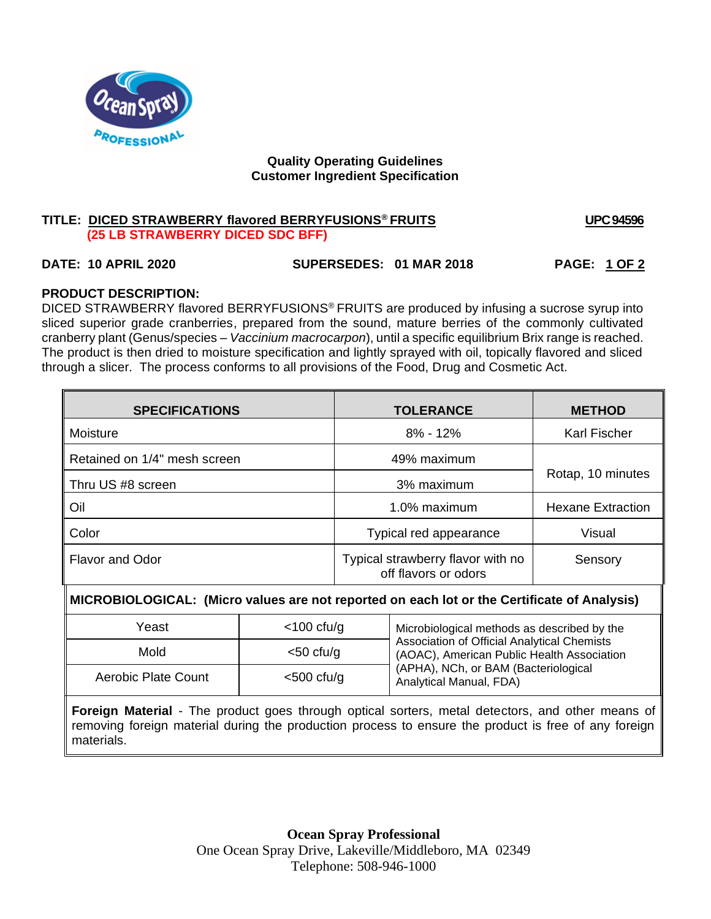

### **Quality Operating Guidelines Customer Ingredient Specification**

## **TITLE: DICED STRAWBERRY flavored BERRYFUSIONS® FRUITS UPC 94596 (25 LB STRAWBERRY DICED SDC BFF)**

# **DATE: 10 APRIL 2020 SUPERSEDES: 01 MAR 2018 PAGE: 1 OF 2**

# **PRODUCT DESCRIPTION:**

DICED STRAWBERRY flavored BERRYFUSIONS® FRUITS are produced by infusing a sucrose syrup into sliced superior grade cranberries, prepared from the sound, mature berries of the commonly cultivated cranberry plant (Genus/species – *Vaccinium macrocarpon*), until a specific equilibrium Brix range is reached. The product is then dried to moisture specification and lightly sprayed with oil, topically flavored and sliced through a slicer. The process conforms to all provisions of the Food, Drug and Cosmetic Act.

| <b>SPECIFICATIONS</b>        | <b>TOLERANCE</b>                                          | <b>METHOD</b>       |  |
|------------------------------|-----------------------------------------------------------|---------------------|--|
| Moisture                     | $8\% - 12\%$                                              | <b>Karl Fischer</b> |  |
| Retained on 1/4" mesh screen | 49% maximum                                               |                     |  |
| Thru US #8 screen            | 3% maximum                                                | Rotap, 10 minutes   |  |
| Oil                          | 1.0% maximum<br><b>Hexane Extraction</b>                  |                     |  |
| Color                        | Typical red appearance                                    | Visual              |  |
| <b>Flavor and Odor</b>       | Typical strawberry flavor with no<br>off flavors or odors | Sensory             |  |

M **MICROBIOLOGICAL: (Micro values are not reported on each lot or the Certificate of Analysis)**

| Yeast               | $<$ 100 cfu/g | Microbiological methods as described by the                                                                                                                         |  |
|---------------------|---------------|---------------------------------------------------------------------------------------------------------------------------------------------------------------------|--|
| Mold                | $<$ 50 cfu/g  | <b>Association of Official Analytical Chemists</b><br>(AOAC), American Public Health Association<br>(APHA), NCh, or BAM (Bacteriological<br>Analytical Manual, FDA) |  |
| Aerobic Plate Count | $<$ 500 cfu/g |                                                                                                                                                                     |  |

**Foreign Material** - The product goes through optical sorters, metal detectors, and other means of removing foreign material during the production process to ensure the product is free of any foreign materials.